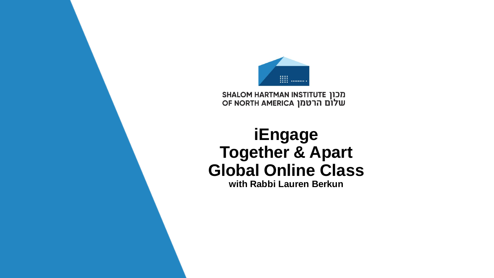

מכון SHALOM HARTMAN INSTITUTE<br>שלום הרטמן OF NORTH AMERICA

## **iEngage Together & Apart Global Online Class**

**with Rabbi Lauren Berkun**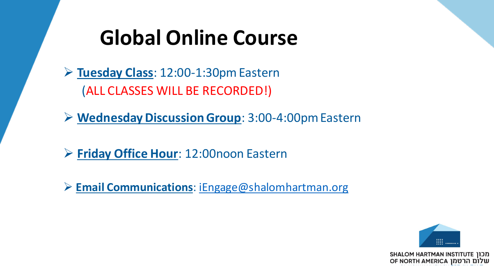# **Global Online Course**

➢ **Tuesday Class**: 12:00-1:30pm Eastern (ALL CLASSES WILL BE RECORDED!)

➢ **Wednesday Discussion Group**: 3:00-4:00pm Eastern

➢ **Friday Office Hour**: 12:00noon Eastern

➢ **Email Communications**: [iEngage@shalomhartman.org](mailto:iEngage@shalomhartman.org)

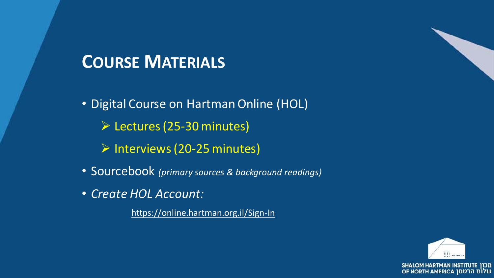## **COURSE MATERIALS**

• Digital Course on Hartman Online (HOL)

- ➢ Lectures (25-30 minutes)
- ➢ Interviews (20-25 minutes)
- Sourcebook *(primary sources & background readings)*
- *Create HOL Account:*

<https://online.hartman.org.il/Sign-In>



שלום הרטמן OF NORTH AMERICA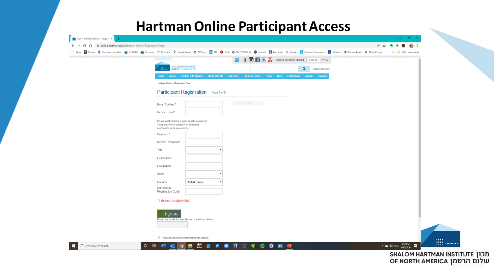### **Hartman Online Participant Access**

|                                                                                                                                      |                  |                                                             | >> Other bookmarks |
|--------------------------------------------------------------------------------------------------------------------------------------|------------------|-------------------------------------------------------------|--------------------|
|                                                                                                                                      |                  | ועברית El El El Sign up to receive updates   ENGLISH ועברית |                    |
| <b>SHALOM HARTMAN (IDD</b><br>שלום הרטמן INSTITUTE                                                                                   |                  | Q<br>Advanced search                                        |                    |
| Home About Centers & Programs Study With Us Gap-Year Hartman Online News Blog Publications Donate Contact                            |                  |                                                             |                    |
| Hartman Online > Registration Page                                                                                                   |                  |                                                             |                    |
| Participant Registration Page 1 of 2                                                                                                 |                  |                                                             |                    |
| Email Address*                                                                                                                       | Full-screen Snip |                                                             |                    |
| Retype Email*                                                                                                                        |                  |                                                             |                    |
| Please avoid choosing a highly sensitive password.<br>Your password will appear in an automated<br>confirmation email to your inbox. |                  |                                                             |                    |
| Password*                                                                                                                            |                  |                                                             |                    |
| Retype Password*                                                                                                                     |                  |                                                             |                    |
| Title                                                                                                                                |                  |                                                             |                    |
| First Name*                                                                                                                          |                  |                                                             |                    |
| Last Name*                                                                                                                           |                  |                                                             |                    |
| <b>State</b>                                                                                                                         |                  |                                                             |                    |
| <b>United States</b><br>Country                                                                                                      |                  |                                                             |                    |
| Community<br>Registration Code*                                                                                                      |                  |                                                             |                    |
| * Indicates mandatory field                                                                                                          |                  |                                                             |                    |
| vhgwuc                                                                                                                               |                  |                                                             |                    |
| Enter the code shown above in the box below.                                                                                         |                  |                                                             |                    |
| I would like to receive Hartman Institute updates                                                                                    |                  |                                                             |                    |

SHALOM HARTMAN INSTITUTE 10 OF NORTH AMERICA שלום הרטמן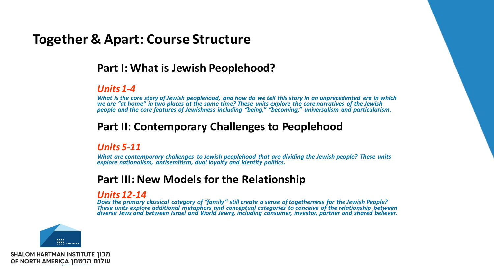### **Together & Apart: Course Structure**

#### **Part I: What is Jewish Peoplehood?**

#### *Units 1-4*

*What is the core story of Jewish peoplehood, and how do we tell this story in an unprecedented era in which we are "at home" in two places at the same time? These units explore the core narratives of the Jewish people and the core features of Jewishness including "being," "becoming," universalism and particularism.*

#### **Part II: Contemporary Challenges to Peoplehood**

#### *Units 5-11*

*What are contemporary challenges to Jewish peoplehood that are dividing the Jewish people? These units explore nationalism, antisemitism, dual loyalty and identity politics.* 

#### **Part III: New Models for the Relationship**

#### *Units 12-14*

*Does the primary classical category of "family" still create a sense of togetherness for the Jewish People? These units explore additional metaphors and conceptual categories to conceive of the relationship between diverse Jews and between Israel and World Jewry, including consumer, investor, partner and shared believer.* 

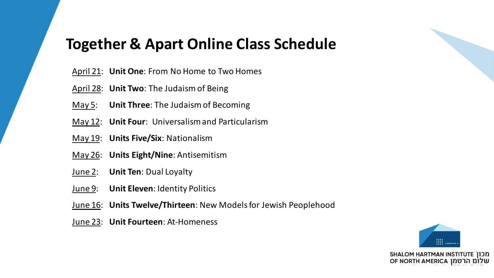### **Together & Apart Online Class Schedule**

- April 21: **Unit One**: From No Home to Two Homes
- April 28: **Unit Two**: The Judaism of Being
- May 5: **Unit Three**: The Judaism of Becoming
- May 12: **Unit Four**: Universalism and Particularism
- May 19: **Units Five/Six**: Nationalism
- May 26: **Units Eight/Nine**: Antisemitism
- June 2: **Unit Ten**: Dual Loyalty
- June 9: **Unit Eleven**: Identity Politics
- June 16: **Units Twelve/Thirteen**: New Models for Jewish Peoplehood
- June 23: **Unit Fourteen**: At-Homeness